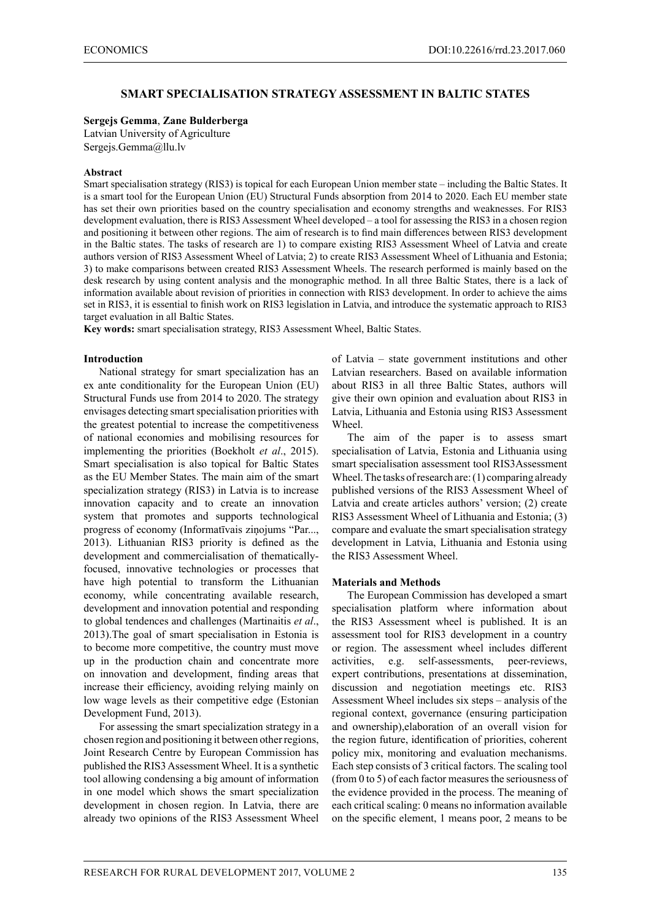# **SMART SPECIALISATION STRATEGY ASSESSMENT IN BALTIC STATES**

## **Sergejs Gemma**, **Zane Bulderberga**

Latvian University of Agriculture Sergejs.Gemma@llu.lv

### **Abstract**

Smart specialisation strategy (RIS3) is topical for each European Union member state – including the Baltic States. It is a smart tool for the European Union (EU) Structural Funds absorption from 2014 to 2020. Each EU member state has set their own priorities based on the country specialisation and economy strengths and weaknesses. For RIS3 development evaluation, there is RIS3 Assessment Wheel developed – a tool for assessing the RIS3 in a chosen region and positioning it between other regions. The aim of research is to find main differences between RIS3 development in the Baltic states. The tasks of research are 1) to compare existing RIS3 Assessment Wheel of Latvia and create authors version of RIS3 Assessment Wheel of Latvia; 2) to create RIS3 Assessment Wheel of Lithuania and Estonia; 3) to make comparisons between created RIS3 Assessment Wheels. The research performed is mainly based on the desk research by using content analysis and the monographic method. In all three Baltic States, there is a lack of information available about revision of priorities in connection with RIS3 development. In order to achieve the aims set in RIS3, it is essential to finish work on RIS3 legislation in Latvia, and introduce the systematic approach to RIS3 target evaluation in all Baltic States.

**Key words:** smart specialisation strategy, RIS3 Assessment Wheel, Baltic States.

### **Introduction**

National strategy for smart specialization has an ex ante conditionality for the European Union (EU) Structural Funds use from 2014 to 2020. The strategy envisages detecting smart specialisation priorities with the greatest potential to increase the competitiveness of national economies and mobilising resources for implementing the priorities (Boekholt *et al*., 2015). Smart specialisation is also topical for Baltic States as the EU Member States. The main aim of the smart specialization strategy (RIS3) in Latvia is to increase innovation capacity and to create an innovation system that promotes and supports technological progress of economy (Informatīvais ziņojums "Par..., 2013). Lithuanian RIS3 priority is defined as the development and commercialisation of thematicallyfocused, innovative technologies or processes that have high potential to transform the Lithuanian economy, while concentrating available research, development and innovation potential and responding to global tendences and challenges (Martinaitis *et al*., 2013).The goal of smart specialisation in Estonia is to become more competitive, the country must move up in the production chain and concentrate more on innovation and development, finding areas that increase their efficiency, avoiding relying mainly on low wage levels as their competitive edge (Estonian Development Fund, 2013).

For assessing the smart specialization strategy in a chosen region and positioning it between other regions, Joint Research Centre by European Commission has published the RIS3 Assessment Wheel. It is a synthetic tool allowing condensing a big amount of information in one model which shows the smart specialization development in chosen region. In Latvia, there are already two opinions of the RIS3 Assessment Wheel

of Latvia – state government institutions and other Latvian researchers. Based on available information about RIS3 in all three Baltic States, authors will give their own opinion and evaluation about RIS3 in Latvia, Lithuania and Estonia using RIS3 Assessment Wheel.

The aim of the paper is to assess smart specialisation of Latvia, Estonia and Lithuania using smart specialisation assessment tool RIS3Assessment Wheel. The tasks of research are: (1) comparing already published versions of the RIS3 Assessment Wheel of Latvia and create articles authors' version; (2) create RIS3 Assessment Wheel of Lithuania and Estonia; (3) compare and evaluate the smart specialisation strategy development in Latvia, Lithuania and Estonia using the RIS3 Assessment Wheel.

### **Materials and Methods**

The European Commission has developed a smart specialisation platform where information about the RIS3 Assessment wheel is published. It is an assessment tool for RIS3 development in a country or region. The assessment wheel includes different activities, e.g. self-assessments, peer-reviews, expert contributions, presentations at dissemination, discussion and negotiation meetings etc. RIS3 Assessment Wheel includes six steps – analysis of the regional context, governance (ensuring participation and ownership),elaboration of an overall vision for the region future, identification of priorities, coherent policy mix, monitoring and evaluation mechanisms. Each step consists of 3 critical factors. The scaling tool (from 0 to 5) of each factor measures the seriousness of the evidence provided in the process. The meaning of each critical scaling: 0 means no information available on the specific element, 1 means poor, 2 means to be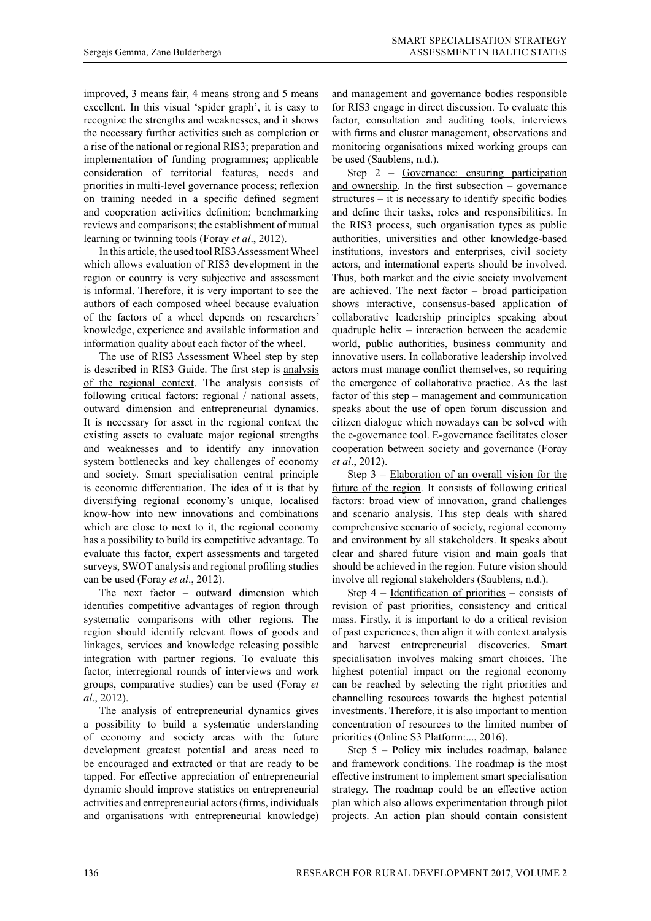improved, 3 means fair, 4 means strong and 5 means excellent. In this visual 'spider graph', it is easy to recognize the strengths and weaknesses, and it shows the necessary further activities such as completion or a rise of the national or regional RIS3; preparation and implementation of funding programmes; applicable consideration of territorial features, needs and priorities in multi-level governance process; reflexion on training needed in a specific defined segment and cooperation activities definition; benchmarking reviews and comparisons; the establishment of mutual learning or twinning tools (Foray *et al*., 2012).

In this article, the used tool RIS3 Assessment Wheel which allows evaluation of RIS3 development in the region or country is very subjective and assessment is informal. Therefore, it is very important to see the authors of each composed wheel because evaluation of the factors of a wheel depends on researchers' knowledge, experience and available information and information quality about each factor of the wheel.

The use of RIS3 Assessment Wheel step by step is described in RIS3 Guide. The first step is analysis of the regional context. The analysis consists of following critical factors: regional / national assets, outward dimension and entrepreneurial dynamics. It is necessary for asset in the regional context the existing assets to evaluate major regional strengths and weaknesses and to identify any innovation system bottlenecks and key challenges of economy and society. Smart specialisation central principle is economic differentiation. The idea of it is that by diversifying regional economy's unique, localised know-how into new innovations and combinations which are close to next to it, the regional economy has a possibility to build its competitive advantage. To evaluate this factor, expert assessments and targeted surveys, SWOT analysis and regional profiling studies can be used (Foray *et al*., 2012).

The next factor – outward dimension which identifies competitive advantages of region through systematic comparisons with other regions. The region should identify relevant flows of goods and linkages, services and knowledge releasing possible integration with partner regions. To evaluate this factor, interregional rounds of interviews and work groups, comparative studies) can be used (Foray *et al*., 2012).

The analysis of entrepreneurial dynamics gives a possibility to build a systematic understanding of economy and society areas with the future development greatest potential and areas need to be encouraged and extracted or that are ready to be tapped. For effective appreciation of entrepreneurial dynamic should improve statistics on entrepreneurial activities and entrepreneurial actors (firms, individuals and organisations with entrepreneurial knowledge)

and management and governance bodies responsible for RIS3 engage in direct discussion. To evaluate this factor, consultation and auditing tools, interviews with firms and cluster management, observations and monitoring organisations mixed working groups can be used (Saublens, n.d.).

Step 2 – Governance: ensuring participation and ownership. In the first subsection – governance structures – it is necessary to identify specific bodies and define their tasks, roles and responsibilities. In the RIS3 process, such organisation types as public authorities, universities and other knowledge-based institutions, investors and enterprises, civil society actors, and international experts should be involved. Thus, both market and the civic society involvement are achieved. The next factor – broad participation shows interactive, consensus-based application of collaborative leadership principles speaking about quadruple helix – interaction between the academic world, public authorities, business community and innovative users. In collaborative leadership involved actors must manage conflict themselves, so requiring the emergence of collaborative practice. As the last factor of this step – management and communication speaks about the use of open forum discussion and citizen dialogue which nowadays can be solved with the e-governance tool. E-governance facilitates closer cooperation between society and governance (Foray *et al*., 2012).

Step 3 – Elaboration of an overall vision for the future of the region. It consists of following critical factors: broad view of innovation, grand challenges and scenario analysis. This step deals with shared comprehensive scenario of society, regional economy and environment by all stakeholders. It speaks about clear and shared future vision and main goals that should be achieved in the region. Future vision should involve all regional stakeholders (Saublens, n.d.).

Step 4 – Identification of priorities – consists of revision of past priorities, consistency and critical mass. Firstly, it is important to do a critical revision of past experiences, then align it with context analysis and harvest entrepreneurial discoveries. Smart specialisation involves making smart choices. The highest potential impact on the regional economy can be reached by selecting the right priorities and channelling resources towards the highest potential investments. Therefore, it is also important to mention concentration of resources to the limited number of priorities (Online S3 Platform:..., 2016).

Step 5 – Policy mix includes roadmap, balance and framework conditions. The roadmap is the most effective instrument to implement smart specialisation strategy. The roadmap could be an effective action plan which also allows experimentation through pilot projects. An action plan should contain consistent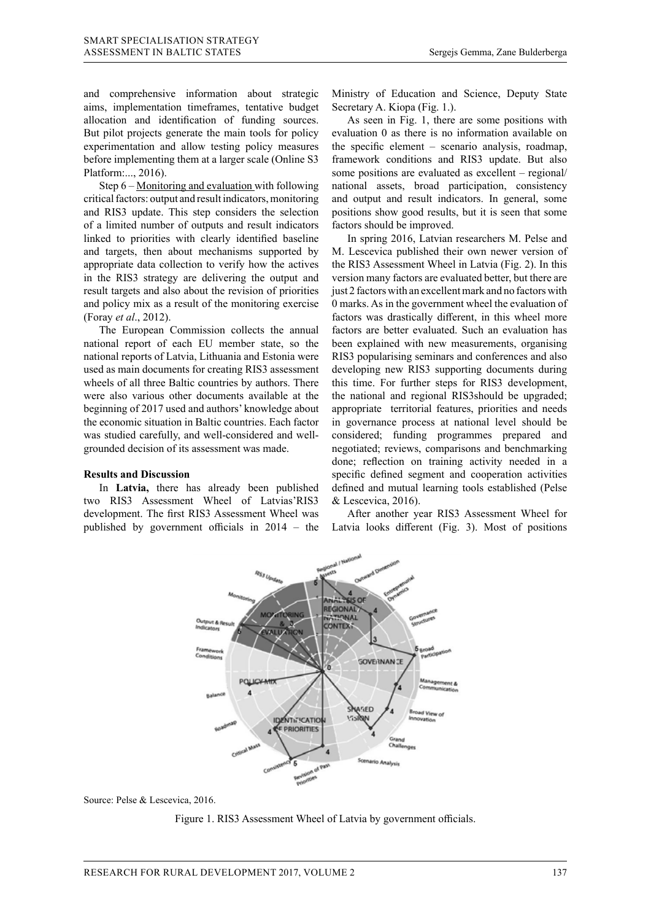and comprehensive information about strategic aims, implementation timeframes, tentative budget allocation and identification of funding sources. But pilot projects generate the main tools for policy experimentation and allow testing policy measures before implementing them at a larger scale (Online S3 Platform:..., 2016).

Step 6 – Monitoring and evaluation with following critical factors: output and result indicators, monitoring and RIS3 update. This step considers the selection of a limited number of outputs and result indicators linked to priorities with clearly identified baseline and targets, then about mechanisms supported by appropriate data collection to verify how the actives in the RIS3 strategy are delivering the output and result targets and also about the revision of priorities and policy mix as a result of the monitoring exercise (Foray *et al*., 2012).

The European Commission collects the annual national report of each EU member state, so the national reports of Latvia, Lithuania and Estonia were used as main documents for creating RIS3 assessment wheels of all three Baltic countries by authors. There were also various other documents available at the beginning of 2017 used and authors' knowledge about the economic situation in Baltic countries. Each factor in governance process at national lev was studied carefully, and well-considered and wellgrounded decision of its assessment was made.

#### **Results and Discussion**

In Latvia, there has already been published two RIS3 Assessment Wheel of Latvias'RIS3 development. The first RIS3 Assessment Wheel was published by government officials in 2014 – the Latvia looks different (Fig. 3). Most of positions published by government officials in 2014 – the Early found direction (1.g. b). These of positions

Ministry of Education and Science, Deputy State Secretary A. Kiopa (Fig. 1.).

As seen in Fig. 1, there are some positions with evaluation 0 as there is no information available on the specific element – scenario analysis, roadmap, framework conditions and RIS3 update. But also some positions are evaluated as excellent – regional/ national assets, broad participation, consistency and output and result indicators. In general, some positions show good results, but it is seen that some factors should be improved.

In spring 2016, Latvian researchers M. Pelse and M. Lescevica published their own newer version of the RIS3 Assessment Wheel in Latvia (Fig. 2). In this version many factors are evaluated better, but there are just 2 factors with an excellent mark and no factors with 0 marks. As in the government wheel the evaluation of factors was drastically different, in this wheel more factors are better evaluated. Such an evaluation has been explained with new measurements, organising RIS3 popularising seminars and conferences and also developing new RIS3 supporting documents during this time. For further steps for RIS3 development, the national and regional RIS3should be upgraded; beginning of 2017 used and authors' knowledge about appropriate territorial features, priorities and needs in governance process at national level should be was studied carefully, and well-considered and well- considered; funding programmes prepared and grounded decision of its assessment was made. The proportional reviews, comparisons and benchmarking done; reflection on training activity needed in a Results and Discussion economic specific defined segment and cooperation activities defined and mutual learning tools established (Pelse & Lescevica, 2016).

> After another year RIS3 Assessment Wheel for Latvia looks different (Fig. 3). Most of positions



Source: Pelse & Lescevica, 2016. Source: Pelse & Lescevica, 2016.  $F_{\text{rel}}$ ,  $2010$ .

Figure 1. RIS3 Assessment Wheel of Latvia by government officials.

evaluated as excellent – regional/national assets, broad participation, consistency and output and result indicators.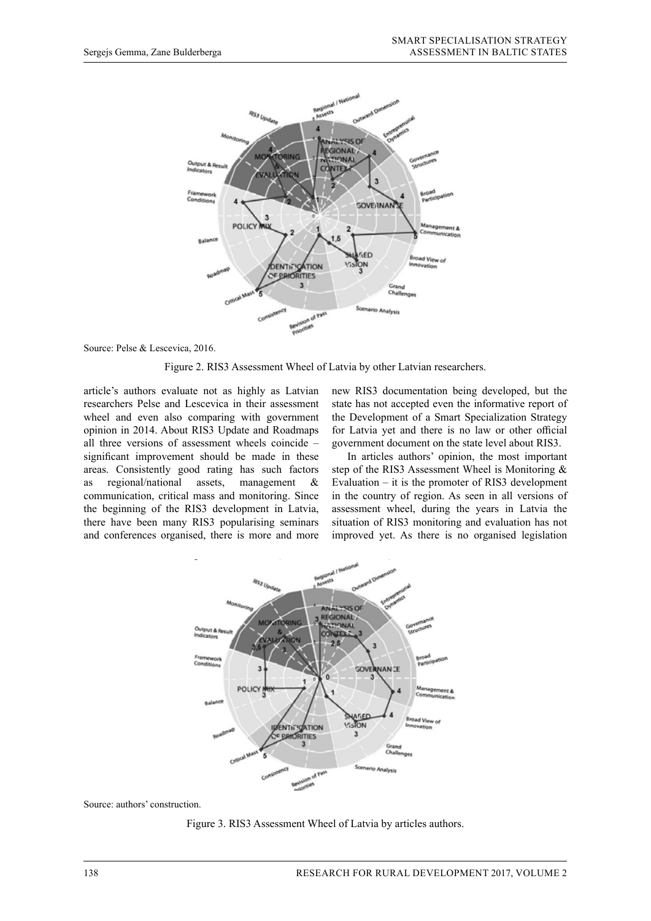

Figure 2. RIS3 Assessment Wheel of Latvia by other Latvian researchers.

article's authors evaluate not as highly as Latvian researchers Pelse and Lescevica in their assessment wheel and even also comparing with government opinion in 2014. About RIS3 Update and Roadmaps significant improvement should be made in these In articles authors' opinion, the most important as regional/national assets, management & and conferences organised, there is more and more improved yet. As there is no organised legislation and negotiation and negotiation and negotiation and negotiation and conferences organised, there is more and more improved yet. As there is no organised registation

all three versions of assessment wheels coincide – government document on the state level about RIS3. new RIS3 documentation being developed, but the state has not accepted even the informative report of the Development of a Smart Specialization Strategy for Latvia yet and there is no law or other official government document on the state level about RIS3.

areas. Consistently good rating has such factors step of the RIS3 Assessment Wheel is Monitoring  $\&$ communication, critical mass and monitoring. Since in the country of region. As seen in all versions of the beginning of the RIS3 development in Latvia, assessment wheel, during the years in Latvia the there have been many RIS3 popularising seminars situation of RIS3 monitoring and evaluation has not In articles authors' opinion, the most important step of the RIS3 Assessment Wheel is Monitoring & as regional/national assets, management & Evaluation – it is the promoter of RIS3 development in the country of region. As seen in all versions of assessment wheel, during the years in Latvia the situation of RIS3 monitoring and evaluation has not improved yet. As there is no organised legislation



Source: authors' construction. Source: authors' construction.  $F_{\text{F}}$  assessment Wheel of Latvia by articles and Latvia by articles and Latvia by articles and Latvia by articles and Latvia by an  $F_{\text{F}}$ 

Figure 3. RIS3 Assessment Wheel of Latvia by articles authors.

comparing with government opinion in 2014. About RIS3 Update and Roadmaps all three versions of assessment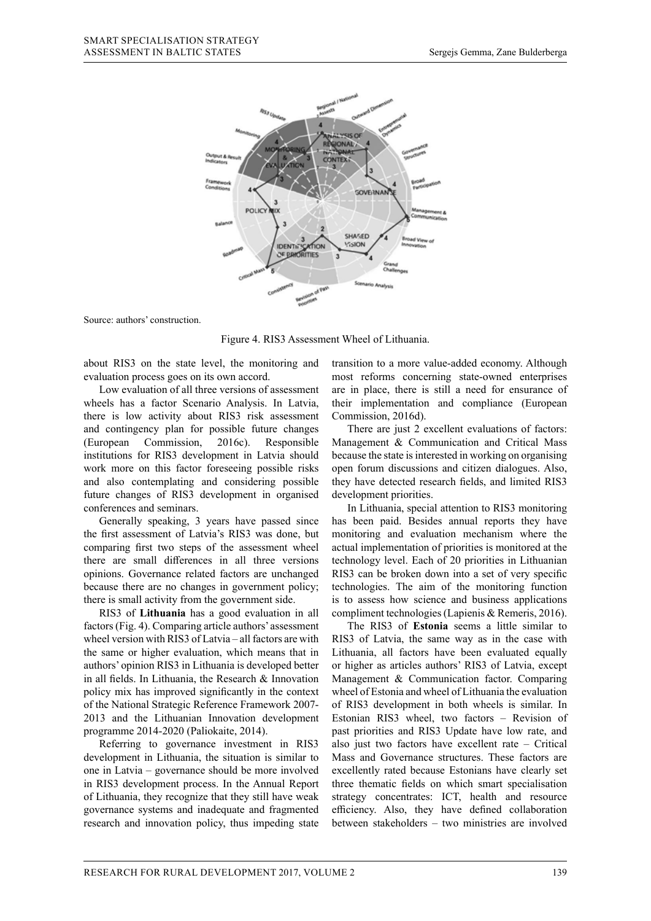

Source: authors' construction. Source: authors' construction.

Figure 4. RIS3 Assessment Wheel of Lithuania.

evaluation process goes on its own accord.

Low evaluation of all three versions of assessment wheels has a factor Scenario Analysis. In Latvia, their implementatio there is low activity about RIS3 risk assessment Commission, 2016d). and contingency plan for possible future changes There are just 2 excellent evaluations of factors: (European Commission, 2016c). Responsible  $\frac{1}{1}$  institutions for RIS3 development in Latvia should because the state is interested in working on organising work more on this factor foreseeing possible risks open forum discussions and citizen dialogues. Also, and also contemplating and considering possible future changes of RIS3 development in organised development priorities. conferences and seminars. (European Commission, 2016c). Responsible Management & Communication and Critical Mass state interested in working on organisation organisation of the contract of the city of the contract of the city<br>In Literature

Generally speaking, 3 years have passed since there are small differences in all three versions opinions. Governance related factors are unchanged because there are no changes in government policy; there is small activity from the government side.

RIS3 of **Lithuania** has a good evaluation in all factors (Fig. 4). Comparing article authors' assessment wheel version with RIS3 of Latvia – all factors are with the same or higher evaluation, which means that in authors' opinion RIS3 in Lithuania is developed better in all fields. In Lithuania, the Research & Innovation policy mix has improved significantly in the context of the National Strategic Reference Framework 2007- 2013 and the Lithuanian Innovation development programme 2014-2020 (Paliokaite, 2014).

Referring to governance investment in RIS3 development in Lithuania, the situation is similar to one in Latvia – governance should be more involved in RIS3 development process. In the Annual Report of Lithuania, they recognize that they still have weak governance systems and inadequate and fragmented governance systems and madequate and nagmented research and innovation policy, thus impeding state

about RIS3 on the state level, the monitoring and transition to a more value-added economy. Although transition to a more value-added economy. Although evaluation process goes on its own accord. In lithuania is developed better in all fields of the Research Bissou mix has a most reforms concerning state-owned enterprises Low evaluation of all three versions of assessment are in place, there is still a need for ensurance of their implementation and compliance (European Commission, 2016d).

> There are just 2 excellent evaluations of factors: because the state is interested in working on organising open forum discussions and citizen dialogues. Also, they have detected research fields, and limited RIS3 development priorities.

the first assessment of Latvia's RIS3 was done, but monitoring and evaluation mechanism where the comparing first two steps of the assessment wheel actual implementation of priorities is monitored at the In Lithuania, special attention to RIS3 monitoring Generally speaking, 3 years have passed since has been paid. Besides annual reports they have monitoring and evaluation mechanism where the actual implementation of priorities is monitored at the there are small differences in all three versions technology level. Each of 20 priorities in Lithuanian RIS3 can be broken down into a set of very specific technologies. The aim of the monitoring function is to assess how science and business applications compliment technologies (Lapienis & Remeris, 2016).

> The RIS3 of **Estonia** seems a little similar to RIS3 of Latvia, the same way as in the case with Lithuania, all factors have been evaluated equally or higher as articles authors' RIS3 of Latvia, except Management & Communication factor. Comparing wheel of Estonia and wheel of Lithuania the evaluation of RIS3 development in both wheels is similar. In Estonian RIS3 wheel, two factors – Revision of past priorities and RIS3 Update have low rate, and also just two factors have excellent rate – Critical Mass and Governance structures. These factors are excellently rated because Estonians have clearly set three thematic fields on which smart specialisation strategy concentrates: ICT, health and resource efficiency. Also, they have defined collaboration between stakeholders – two ministries are involved  $\mu$  and  $\mu$  and  $\mu$  and  $\mu$  between statements.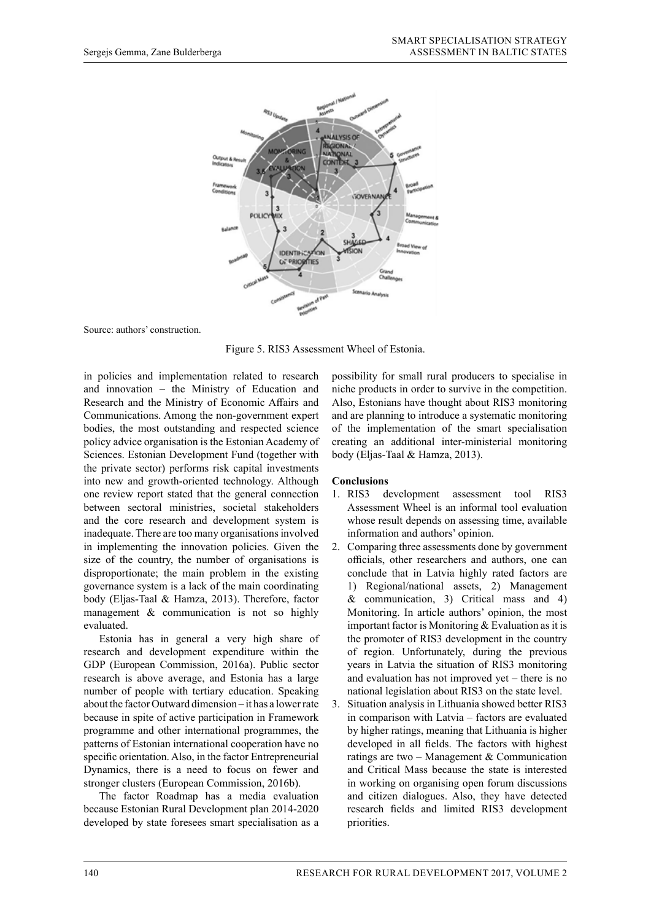

Figure 5. RIS3 Assessment Wheel of Estonia.

in policies and implementation related to research and innovation – the Ministry of Education and Research and the Ministry of Economic Affairs and Communications. Among the non-government expert bodies, the most outstanding and respected science policy advice organisation is the Estonian Academy of Sciences. Estonian Development Fund (together with the private sector) performs risk capital investments into new and growth-oriented technology. Although one review report stated that the general connection between sectoral ministries, societal stakeholders and the core research and development system is inadequate. There are too many organisations involved in implementing the innovation policies. Given the size of the country, the number of organisations is disproportionate; the main problem in the existing governance system is a lack of the main coordinating body (Eljas-Taal & Hamza, 2013). Therefore, factor management & communication is not so highly evaluated.

Estonia has in general a very high share of research and development expenditure within the GDP (European Commission, 2016a). Public sector research is above average, and Estonia has a large number of people with tertiary education. Speaking about the factor Outward dimension – it has a lower rate because in spite of active participation in Framework programme and other international programmes, the patterns of Estonian international cooperation have no specific orientation. Also, in the factor Entrepreneurial Dynamics, there is a need to focus on fewer and stronger clusters (European Commission, 2016b).

The factor Roadmap has a media evaluation because Estonian Rural Development plan 2014-2020 developed by state foresees smart specialisation as a possibility for small rural producers to specialise in niche products in order to survive in the competition. Also, Estonians have thought about RIS3 monitoring and are planning to introduce a systematic monitoring of the implementation of the smart specialisation creating an additional inter-ministerial monitoring body (Eljas-Taal & Hamza, 2013).

## **Conclusions**

- 1. RIS3 development assessment tool RIS3 Assessment Wheel is an informal tool evaluation whose result depends on assessing time, available information and authors' opinion.
- 2. Comparing three assessments done by government officials, other researchers and authors, one can conclude that in Latvia highly rated factors are 1) Regional/national assets, 2) Management & communication, 3) Critical mass and 4) Monitoring. In article authors' opinion, the most important factor is Monitoring & Evaluation as it is the promoter of RIS3 development in the country of region. Unfortunately, during the previous years in Latvia the situation of RIS3 monitoring and evaluation has not improved yet – there is no national legislation about RIS3 on the state level.
- 3. Situation analysis in Lithuania showed better RIS3 in comparison with Latvia – factors are evaluated by higher ratings, meaning that Lithuania is higher developed in all fields. The factors with highest ratings are two – Management  $&$  Communication and Critical Mass because the state is interested in working on organising open forum discussions and citizen dialogues. Also, they have detected research fields and limited RIS3 development priorities.